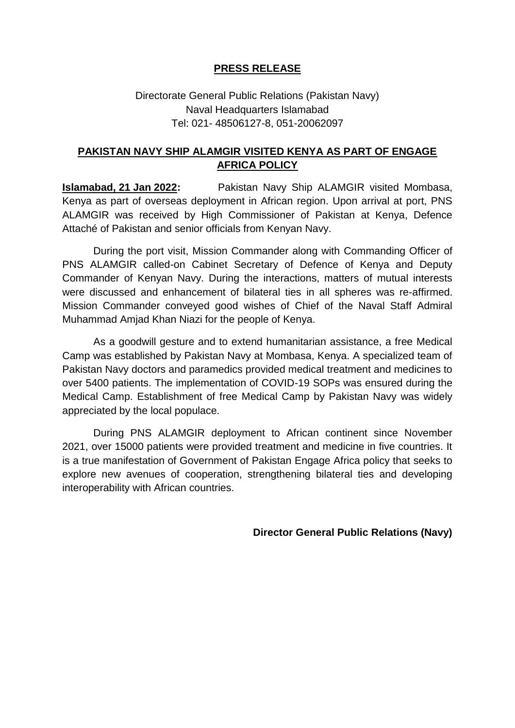## **PRESS RELEASE**

## Directorate General Public Relations (Pakistan Navy) Naval Headquarters Islamabad Tel: 021- 48506127-8, 051-20062097

## **PAKISTAN NAVY SHIP ALAMGIR VISITED KENYA AS PART OF ENGAGE AFRICA POLICY**

**Islamabad, 21 Jan 2022:** Pakistan Navy Ship ALAMGIR visited Mombasa, Kenya as part of overseas deployment in African region. Upon arrival at port, PNS ALAMGIR was received by High Commissioner of Pakistan at Kenya, Defence Attaché of Pakistan and senior officials from Kenyan Navy.

During the port visit, Mission Commander along with Commanding Officer of PNS ALAMGIR called-on Cabinet Secretary of Defence of Kenya and Deputy Commander of Kenyan Navy. During the interactions, matters of mutual interests were discussed and enhancement of bilateral ties in all spheres was re-affirmed. Mission Commander conveyed good wishes of Chief of the Naval Staff Admiral Muhammad Amjad Khan Niazi for the people of Kenya.

As a goodwill gesture and to extend humanitarian assistance, a free Medical Camp was established by Pakistan Navy at Mombasa, Kenya. A specialized team of Pakistan Navy doctors and paramedics provided medical treatment and medicines to over 5400 patients. The implementation of COVID-19 SOPs was ensured during the Medical Camp. Establishment of free Medical Camp by Pakistan Navy was widely appreciated by the local populace.

During PNS ALAMGIR deployment to African continent since November 2021, over 15000 patients were provided treatment and medicine in five countries. It is a true manifestation of Government of Pakistan Engage Africa policy that seeks to explore new avenues of cooperation, strengthening bilateral ties and developing interoperability with African countries.

**Director General Public Relations (Navy)**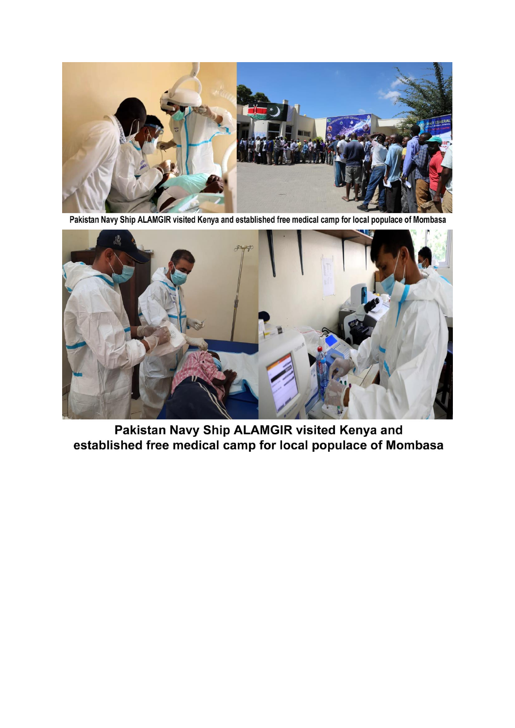

Pakistan Navy Ship ALAMGIR visited Kenya and established free medical camp for local populace of Mombasa



Pakistan Navy Ship ALAMGIR visited Kenya and established free medical camp for local populace of Mombasa